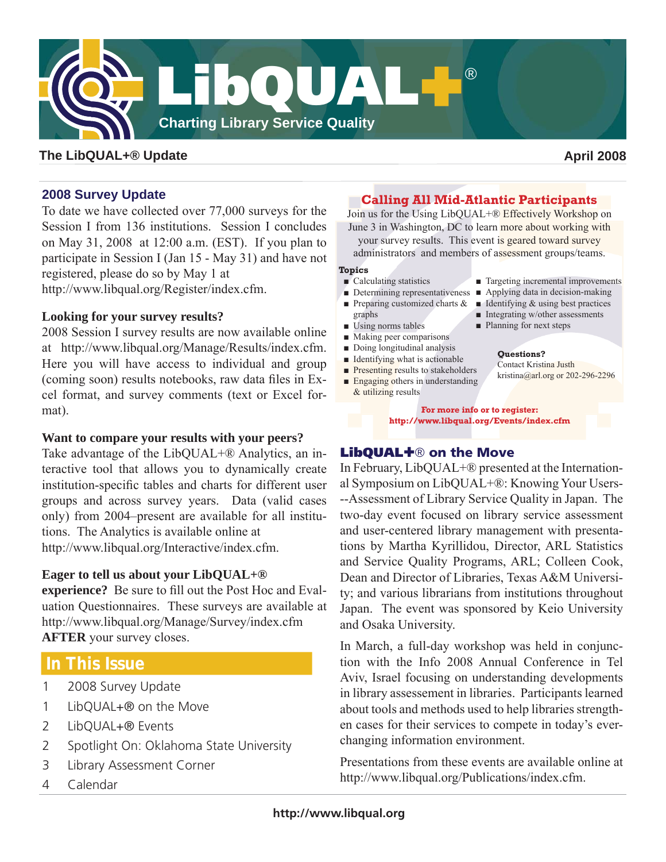

## **The LibQUAL+® Update April 2008**

## **2008 Survey Update**

To date we have collected over 77,000 surveys for the Session I from 136 institutions. Session I concludes on May 31, 2008 at 12:00 a.m. (EST). If you plan to participate in Session I (Jan 15 - May 31) and have not registered, please do so by May 1 at

http://www.libqual.org/Register/index.cfm.

## **Looking for your survey results?**

2008 Session I survey results are now available online at http://www.libqual.org/Manage/Results/index.cfm. Here you will have access to individual and group (coming soon) results notebooks, raw data files in Excel format, and survey comments (text or Excel format).

## **Want to compare your results with your peers?**

Take advantage of the LibQUAL+® Analytics, an interactive tool that allows you to dynamically create institution-specific tables and charts for different user groups and across survey years. Data (valid cases only) from 2004–present are available for all institutions. The Analytics is available online at http://www.libqual.org/Interactive/index.cfm.

## **Eager to tell us about your LibQUAL+®**

**experience?** Be sure to fill out the Post Hoc and Evaluation Questionnaires. These surveys are available at http://www.libqual.org/Manage/Survey/index.cfm **AFTER** your survey closes.

# **In This Issue**

- 1 2008 Survey Update
- 1 LibQUAL+® on the Move
- 2 LibQUAL+® Events
- 2 Spotlight On: Oklahoma State University
- 3 Library Assessment Corner
- 4 Calendar

## **Calling All Mid-Atlantic Participants**

Join us for the Using LibQUAL+® Effectively Workshop on June 3 in Washington, DC to learn more about working with

your survey results. This event is geared toward survey

administrators and members of assessment groups/teams.

### **Topics**

- Calculating statistics
- Preparing customized charts & graphs
- Using norms tables
- Making peer comparisons
- Doing longitudinal analysis
- Identifying what is actionable
- Presenting results to stakeholders
- Engaging others in understanding & utilizing results
- Targeting incremental improvements
- Determining representativeness Applying data in decision-making
	- $\blacksquare$  Identifying & using best practices
	- Integrating w/other assessments
	- Planning for next steps

### **Questions?**

Contact Kristina Justh kristina@arl.org or 202-296-2296

**For more info or to register: http://www.libqual.org/Events/index.cfm**

## **LibQUAL+**® **on the Move**

In February, LibQUAL+® presented at the International Symposium on LibQUAL+®: Knowing Your Users- --Assessment of Library Service Quality in Japan. The two-day event focused on library service assessment and user-centered library management with presentations by Martha Kyrillidou, Director, ARL Statistics and Service Quality Programs, ARL; Colleen Cook, Dean and Director of Libraries, Texas A&M University; and various librarians from institutions throughout Japan. The event was sponsored by Keio University and Osaka University.

In March, a full-day workshop was held in conjunction with the Info 2008 Annual Conference in Tel Aviv, Israel focusing on understanding developments in library assessement in libraries. Participants learned about tools and methods used to help libraries strengthen cases for their services to compete in today's everchanging information environment.

Presentations from these events are available online at http://www.libqual.org/Publications/index.cfm.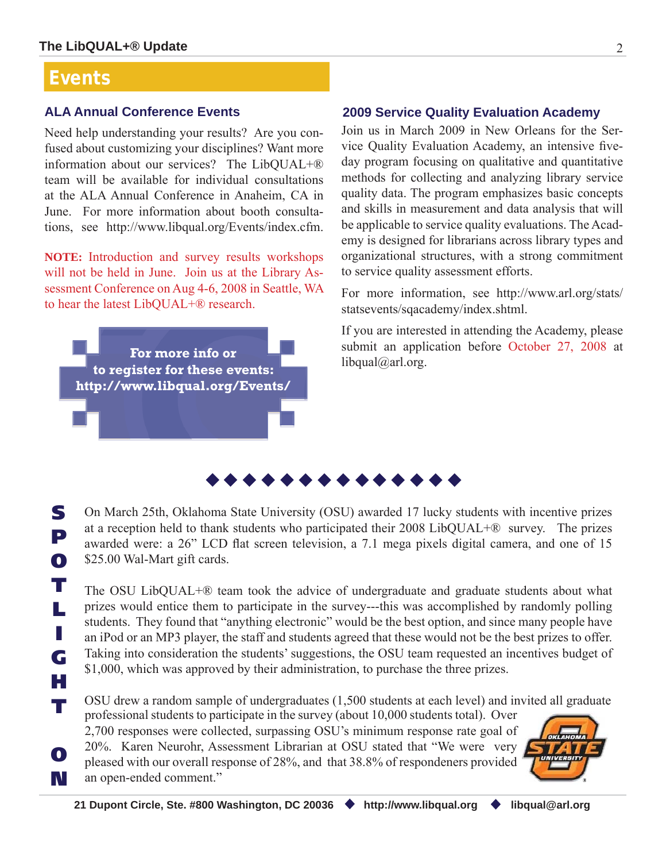# **Events**

**T**

**L**

**I**

**G**

**H**

**T**

# **ALA Annual Conference Events**

Need help understanding your results? Are you confused about customizing your disciplines? Want more information about our services? The LibQUAL+® team will be available for individual consultations at the ALA Annual Conference in Anaheim, CA in June. For more information about booth consultations, see http://www.libqual.org/Events/index.cfm.

**NOTE:** Introduction and survey results workshops will not be held in June. Join us at the Library Assessment Conference on Aug 4-6, 2008 in Seattle, WA to hear the latest LibQUAL+® research.

**For more info or to register for these events: http://www.libqual.org/Events/**

## **2009 Service Quality Evaluation Academy**

Join us in March 2009 in New Orleans for the Service Quality Evaluation Academy, an intensive fiveday program focusing on qualitative and quantitative methods for collecting and analyzing library service quality data. The program emphasizes basic concepts and skills in measurement and data analysis that will be applicable to service quality evaluations. The Academy is designed for librarians across library types and organizational structures, with a strong commitment to service quality assessment efforts.

For more information, see http://www.arl.org/stats/ statsevents/sqacademy/index.shtml.

If you are interested in attending the Academy, please submit an application before October 27, 2008 at  $libqual@arl.org.$ 

**S P O** On March 25th, Oklahoma State University (OSU) awarded 17 lucky students with incentive prizes at a reception held to thank students who participated their 2008 LibQUAL+® survey. The prizes awarded were: a 26" LCD flat screen television, a 7.1 mega pixels digital camera, and one of 15 \$25.00 Wal-Mart gift cards.

The OSU LibQUAL+® team took the advice of undergraduate and graduate students about what prizes would entice them to participate in the survey---this was accomplished by randomly polling students. They found that "anything electronic" would be the best option, and since many people have an iPod or an MP3 player, the staff and students agreed that these would not be the best prizes to offer. Taking into consideration the students' suggestions, the OSU team requested an incentives budget of \$1,000, which was approved by their administration, to purchase the three prizes.

OSU drew a random sample of undergraduates (1,500 students at each level) and invited all graduate professional students to participate in the survey (about 10,000 students total). Over

**O N** 2,700 responses were collected, surpassing OSU's minimum response rate goal of 20%. Karen Neurohr, Assessment Librarian at OSU stated that "We were very pleased with our overall response of 28%, and that 38.8% of respondeners provided an open-ended comment."

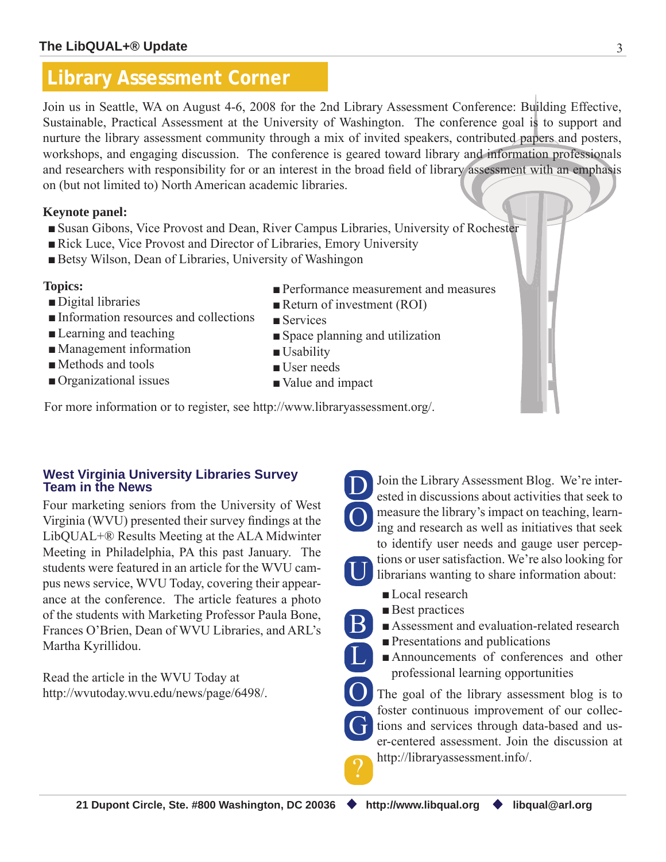# **Library Assessment Corner**

Join us in Seattle, WA on August 4-6, 2008 for the 2nd Library Assessment Conference: Building Effective, Sustainable, Practical Assessment at the University of Washington. The conference goal is to support and nurture the library assessment community through a mix of invited speakers, contributed papers and posters, workshops, and engaging discussion. The conference is geared toward library and information professionals and researchers with responsibility for or an interest in the broad field of library assessment with an emphasis on (but not limited to) North American academic libraries.

# **Keynote panel:**

- Susan Gibons, Vice Provost and Dean, River Campus Libraries, University of Rochester
- Rick Luce, Vice Provost and Director of Libraries, Emory University
- Betsy Wilson, Dean of Libraries, University of Washingon

# **Topics:**

- Digital libraries
- ■Information resources and collections
- Learning and teaching
- Management information
- Methods and tools
- Organizational issues
- Performance measurement and measures
- Return of investment (ROI)
- Services
- Space planning and utilization
- Usability ■ User needs
- Value and impact

For more information or to register, see http://www.libraryassessment.org/.

## **West Virginia University Libraries Survey Team in the News**

Four marketing seniors from the University of West Virginia (WVU) presented their survey findings at the LibQUAL+® Results Meeting at the ALA Midwinter Meeting in Philadelphia, PA this past January. The students were featured in an article for the WVU campus news service, WVU Today, covering their appearance at the conference. The article features a photo of the students with Marketing Professor Paula Bone, Frances O'Brien, Dean of WVU Libraries, and ARL's Martha Kyrillidou.

Read the article in the WVU Today at http://wvutoday.wvu.edu/news/page/6498/.



B

U

 $\overline{\text{L}}$ 

?

Join the Library Assessment Blog. We're interested in discussions about activities that seek to measure the library's impact on teaching, learning and research as well as initiatives that seek to identify user needs and gauge user perceptions or user satisfaction. We're also looking for librarians wanting to share information about:

- ■Local research
- Best practices
- Assessment and evaluation-related research
- ■Presentations and publications
- Announcements of conferences and other professional learning opportunities

The goal of the library assessment blog is to foster continuous improvement of our collections and services through data-based and user-centered assessment. Join the discussion at http://libraryassessment.info/. O G